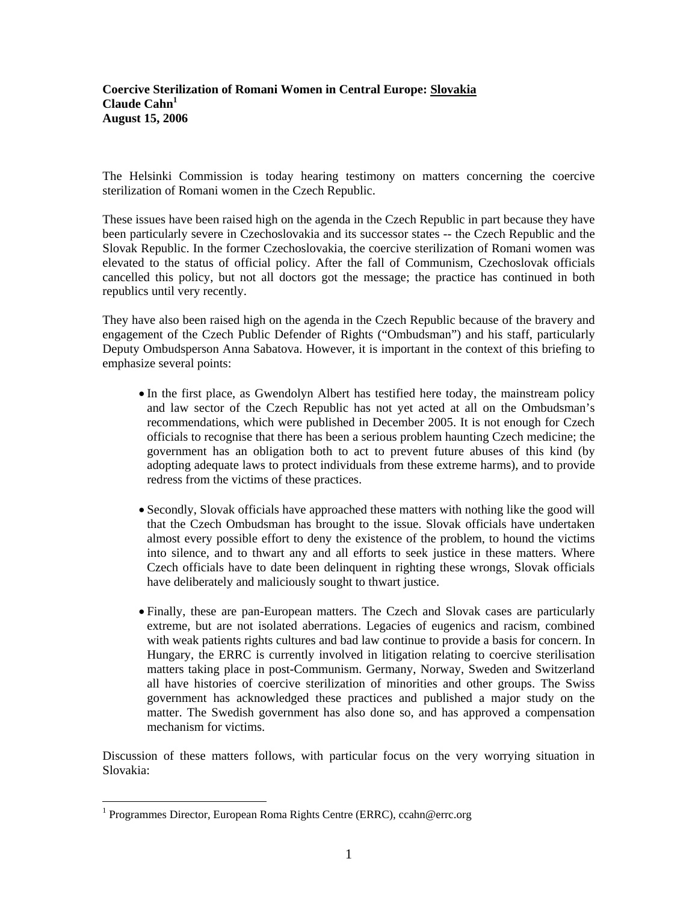The Helsinki Commission is today hearing testimony on matters concerning the coercive sterilization of Romani women in the Czech Republic.

These issues have been raised high on the agenda in the Czech Republic in part because they have been particularly severe in Czechoslovakia and its successor states -- the Czech Republic and the Slovak Republic. In the former Czechoslovakia, the coercive sterilization of Romani women was elevated to the status of official policy. After the fall of Communism, Czechoslovak officials cancelled this policy, but not all doctors got the message; the practice has continued in both republics until very recently.

They have also been raised high on the agenda in the Czech Republic because of the bravery and engagement of the Czech Public Defender of Rights ("Ombudsman") and his staff, particularly Deputy Ombudsperson Anna Sabatova. However, it is important in the context of this briefing to emphasize several points:

- In the first place, as Gwendolyn Albert has testified here today, the mainstream policy and law sector of the Czech Republic has not yet acted at all on the Ombudsman's recommendations, which were published in December 2005. It is not enough for Czech officials to recognise that there has been a serious problem haunting Czech medicine; the government has an obligation both to act to prevent future abuses of this kind (by adopting adequate laws to protect individuals from these extreme harms), and to provide redress from the victims of these practices.
- Secondly, Slovak officials have approached these matters with nothing like the good will that the Czech Ombudsman has brought to the issue. Slovak officials have undertaken almost every possible effort to deny the existence of the problem, to hound the victims into silence, and to thwart any and all efforts to seek justice in these matters. Where Czech officials have to date been delinquent in righting these wrongs, Slovak officials have deliberately and maliciously sought to thwart justice.
- Finally, these are pan-European matters. The Czech and Slovak cases are particularly extreme, but are not isolated aberrations. Legacies of eugenics and racism, combined with weak patients rights cultures and bad law continue to provide a basis for concern. In Hungary, the ERRC is currently involved in litigation relating to coercive sterilisation matters taking place in post-Communism. Germany, Norway, Sweden and Switzerland all have histories of coercive sterilization of minorities and other groups. The Swiss government has acknowledged these practices and published a major study on the matter. The Swedish government has also done so, and has approved a compensation mechanism for victims.

Discussion of these matters follows, with particular focus on the very worrying situation in Slovakia:

 $\overline{a}$ 

<span id="page-0-0"></span><sup>&</sup>lt;sup>1</sup> Programmes Director, European Roma Rights Centre (ERRC), ccahn@errc.org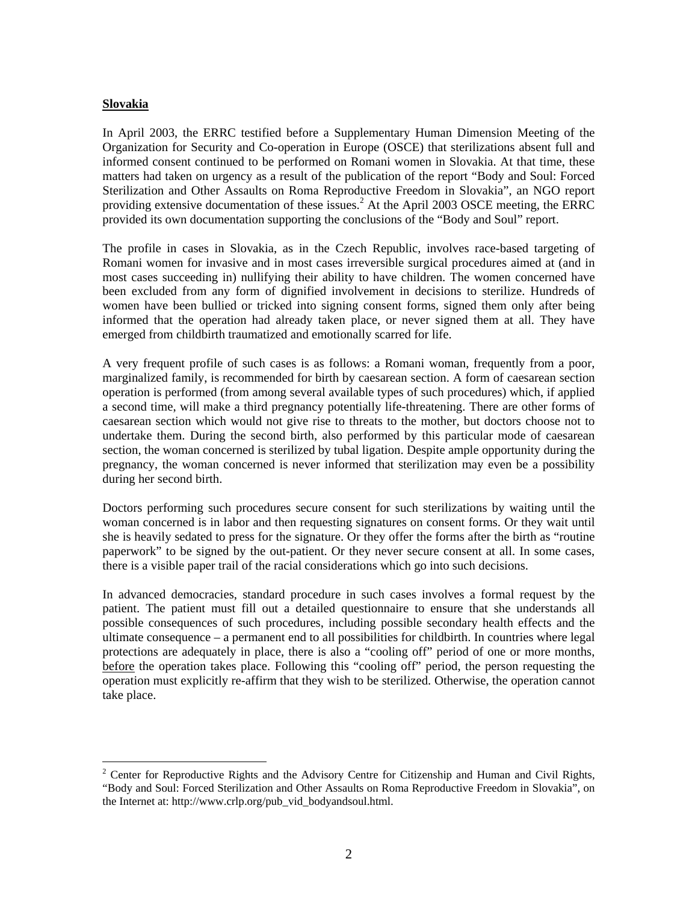## **Slovakia**

In April 2003, the ERRC testified before a Supplementary Human Dimension Meeting of the Organization for Security and Co-operation in Europe (OSCE) that sterilizations absent full and informed consent continued to be performed on Romani women in Slovakia. At that time, these matters had taken on urgency as a result of the publication of the report "Body and Soul: Forced Sterilization and Other Assaults on Roma Reproductive Freedom in Slovakia", an NGO report providing extensive documentation of these issues.<sup>[2](#page-1-0)</sup> At the April 2003 OSCE meeting, the ERRC provided its own documentation supporting the conclusions of the "Body and Soul" report.

The profile in cases in Slovakia, as in the Czech Republic, involves race-based targeting of Romani women for invasive and in most cases irreversible surgical procedures aimed at (and in most cases succeeding in) nullifying their ability to have children. The women concerned have been excluded from any form of dignified involvement in decisions to sterilize. Hundreds of women have been bullied or tricked into signing consent forms, signed them only after being informed that the operation had already taken place, or never signed them at all. They have emerged from childbirth traumatized and emotionally scarred for life.

A very frequent profile of such cases is as follows: a Romani woman, frequently from a poor, marginalized family, is recommended for birth by caesarean section. A form of caesarean section operation is performed (from among several available types of such procedures) which, if applied a second time, will make a third pregnancy potentially life-threatening. There are other forms of caesarean section which would not give rise to threats to the mother, but doctors choose not to undertake them. During the second birth, also performed by this particular mode of caesarean section, the woman concerned is sterilized by tubal ligation. Despite ample opportunity during the pregnancy, the woman concerned is never informed that sterilization may even be a possibility during her second birth.

Doctors performing such procedures secure consent for such sterilizations by waiting until the woman concerned is in labor and then requesting signatures on consent forms. Or they wait until she is heavily sedated to press for the signature. Or they offer the forms after the birth as "routine paperwork" to be signed by the out-patient. Or they never secure consent at all. In some cases, there is a visible paper trail of the racial considerations which go into such decisions.

In advanced democracies, standard procedure in such cases involves a formal request by the patient. The patient must fill out a detailed questionnaire to ensure that she understands all possible consequences of such procedures, including possible secondary health effects and the ultimate consequence – a permanent end to all possibilities for childbirth. In countries where legal protections are adequately in place, there is also a "cooling off" period of one or more months, before the operation takes place. Following this "cooling off" period, the person requesting the operation must explicitly re-affirm that they wish to be sterilized. Otherwise, the operation cannot take place.

<span id="page-1-0"></span><sup>&</sup>lt;sup>2</sup> Center for Reproductive Rights and the Advisory Centre for Citizenship and Human and Civil Rights, "Body and Soul: Forced Sterilization and Other Assaults on Roma Reproductive Freedom in Slovakia", on the Internet at: http://www.crlp.org/pub\_vid\_bodyandsoul.html.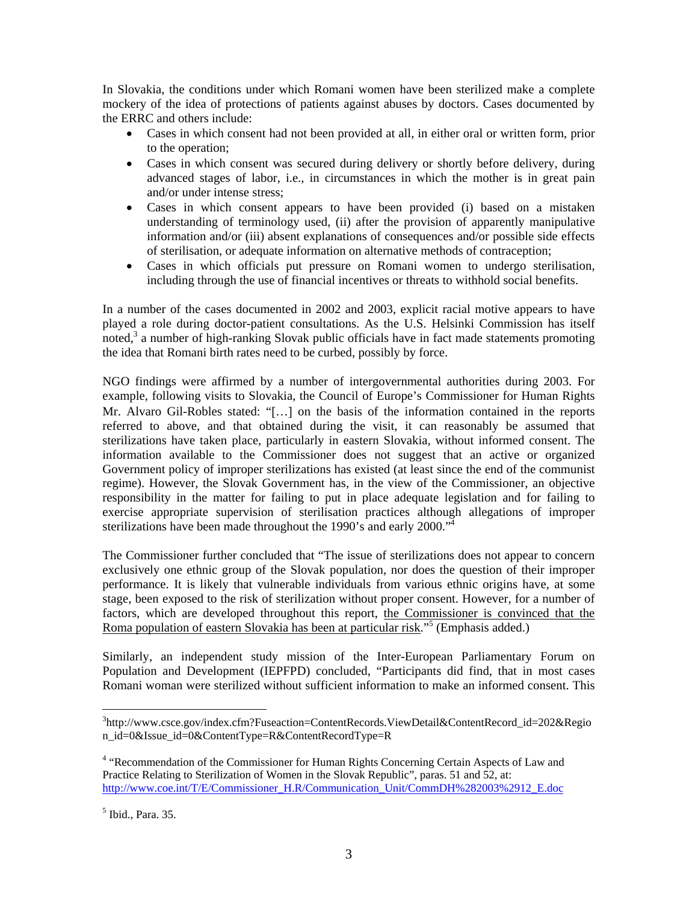In Slovakia, the conditions under which Romani women have been sterilized make a complete mockery of the idea of protections of patients against abuses by doctors. Cases documented by the ERRC and others include:

- Cases in which consent had not been provided at all, in either oral or written form, prior to the operation;
- Cases in which consent was secured during delivery or shortly before delivery, during advanced stages of labor, i.e., in circumstances in which the mother is in great pain and/or under intense stress;
- Cases in which consent appears to have been provided (i) based on a mistaken understanding of terminology used, (ii) after the provision of apparently manipulative information and/or (iii) absent explanations of consequences and/or possible side effects of sterilisation, or adequate information on alternative methods of contraception;
- Cases in which officials put pressure on Romani women to undergo sterilisation, including through the use of financial incentives or threats to withhold social benefits.

In a number of the cases documented in 2002 and 2003, explicit racial motive appears to have played a role during doctor-patient consultations. As the U.S. Helsinki Commission has itself noted,<sup>3</sup> a number of high-ranking Slovak public officials have in fact made statements promoting the idea that Romani birth rates need to be curbed, possibly by force.

NGO findings were affirmed by a number of intergovernmental authorities during 2003. For example, following visits to Slovakia, the Council of Europe's Commissioner for Human Rights Mr. Alvaro Gil-Robles stated: "[…] on the basis of the information contained in the reports referred to above, and that obtained during the visit, it can reasonably be assumed that sterilizations have taken place, particularly in eastern Slovakia, without informed consent. The information available to the Commissioner does not suggest that an active or organized Government policy of improper sterilizations has existed (at least since the end of the communist regime). However, the Slovak Government has, in the view of the Commissioner, an objective responsibility in the matter for failing to put in place adequate legislation and for failing to exercise appropriate supervision of sterilisation practices although allegations of improper sterilizations have been made throughout the 1990's and early 2000.<sup>34</sup>

The Commissioner further concluded that "The issue of sterilizations does not appear to concern exclusively one ethnic group of the Slovak population, nor does the question of their improper performance. It is likely that vulnerable individuals from various ethnic origins have, at some stage, been exposed to the risk of sterilization without proper consent. However, for a number of factors, which are developed throughout this report, the Commissioner is convinced that the Roma population of eastern Slovakia has been at particular risk."<sup>[5](#page-2-2)</sup> (Emphasis added.)

Similarly, an independent study mission of the Inter-European Parliamentary Forum on Population and Development (IEPFPD) concluded, "Participants did find, that in most cases Romani woman were sterilized without sufficient information to make an informed consent. This

 $\overline{a}$ 

<span id="page-2-0"></span><sup>&</sup>lt;sup>3</sup>http://www.csce.gov/index.cfm?Fuseaction=ContentRecords.ViewDetail&ContentRecord\_id=202&Regio n\_id=0&Issue\_id=0&ContentType=R&ContentRecordType=R

<span id="page-2-1"></span><sup>&</sup>lt;sup>4</sup> "Recommendation of the Commissioner for Human Rights Concerning Certain Aspects of Law and Practice Relating to Sterilization of Women in the Slovak Republic", paras. 51 and 52, at: [http://www.coe.int/T/E/Commissioner\\_H.R/Communication\\_Unit/CommDH%282003%2912\\_E.doc](http://www.coe.int/T/E/Commissioner_H.R/Communication_Unit/CommDH%282003%2912_E.doc)

<span id="page-2-2"></span><sup>5</sup> Ibid., Para. 35.